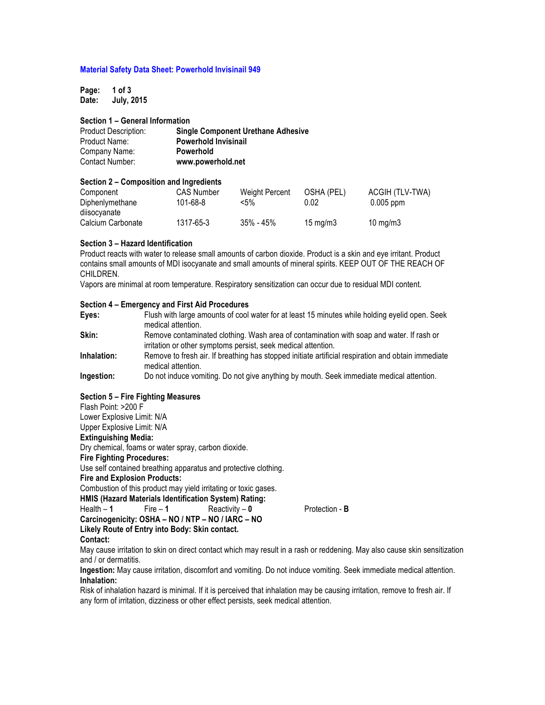#### **Material Safety Data Sheet: Powerhold Invisinail 949**

**Page: 1 of 3 Date: July, 2015**

# **Section 1 – General Information**

| <b>Product Description:</b> | <b>Single Component Urethane Adhesive</b> |
|-----------------------------|-------------------------------------------|
| Product Name:               | <b>Powerhold Invisinail</b>               |
| Company Name:               | <b>Powerhold</b>                          |
| Contact Number:             | www.powerhold.net                         |

# **Section 2 – Composition and Ingredients**

| Component         | <b>CAS Number</b> | Weight Percent | OSHA (PEL)        | ACGIH (TLV-TWA)   |
|-------------------|-------------------|----------------|-------------------|-------------------|
| Diphenlymethane   | 101-68-8          | <5%            | 0.02              | $0.005$ ppm       |
| diisocyanate      |                   |                |                   |                   |
| Calcium Carbonate | 1317-65-3         | $35\%$ - 45%   | $15 \text{ mg/m}$ | $10 \text{ mg/m}$ |

#### **Section 3 – Hazard Identification**

Product reacts with water to release small amounts of carbon dioxide. Product is a skin and eye irritant. Product contains small amounts of MDI isocyanate and small amounts of mineral spirits. KEEP OUT OF THE REACH OF CHILDREN.

Vapors are minimal at room temperature. Respiratory sensitization can occur due to residual MDI content.

### **Section 4 – Emergency and First Aid Procedures**

| Eyes:       | Flush with large amounts of cool water for at least 15 minutes while holding eyelid open. Seek<br>medical attention.                                      |
|-------------|-----------------------------------------------------------------------------------------------------------------------------------------------------------|
| Skin:       | Remove contaminated clothing. Wash area of contamination with soap and water. If rash or<br>irritation or other symptoms persist, seek medical attention. |
| Inhalation: | Remove to fresh air. If breathing has stopped initiate artificial respiration and obtain immediate<br>medical attention.                                  |
| Ingestion:  | Do not induce vomiting. Do not give anything by mouth. Seek immediate medical attention.                                                                  |

# **Section 5 – Fire Fighting Measures**

Flash Point: >200 F

Lower Explosive Limit: N/A Upper Explosive Limit: N/A

# **Extinguishing Media:**

Dry chemical, foams or water spray, carbon dioxide.

**Fire Fighting Procedures:**

Use self contained breathing apparatus and protective clothing.

**Fire and Explosion Products:**

Combustion of this product may yield irritating or toxic gases.

**HMIS (Hazard Materials Identification System) Rating:**

Health – **1** Fire – **1** Reactivity – **0** Protection - **B Carcinogenicity: OSHA – NO / NTP – NO / IARC – NO**

**Likely Route of Entry into Body: Skin contact.**

May cause irritation to skin on direct contact which may result in a rash or reddening. May also cause skin sensitization and / or dermatitis.

**Ingestion:** May cause irritation, discomfort and vomiting. Do not induce vomiting. Seek immediate medical attention. **Inhalation:** 

Risk of inhalation hazard is minimal. If it is perceived that inhalation may be causing irritation, remove to fresh air. If any form of irritation, dizziness or other effect persists, seek medical attention.

**Contact:**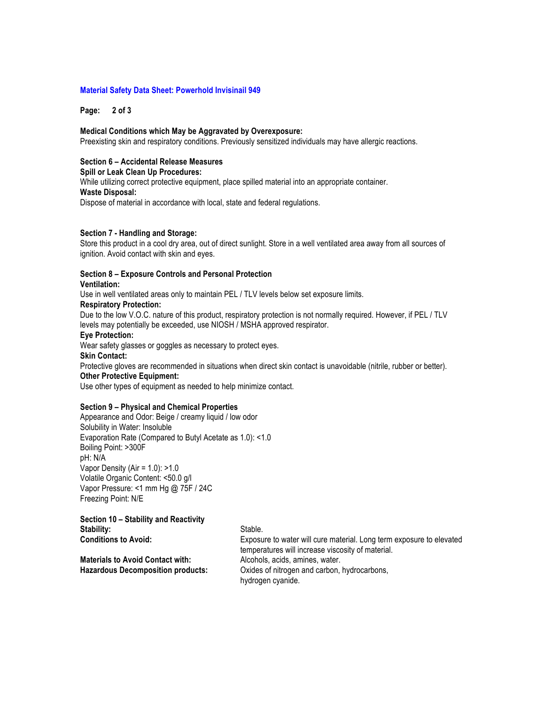#### **Material Safety Data Sheet: Powerhold Invisinail 949**

**Page: 2 of 3**

#### **Medical Conditions which May be Aggravated by Overexposure:**

Preexisting skin and respiratory conditions. Previously sensitized individuals may have allergic reactions.

# **Section 6 – Accidental Release Measures**

#### **Spill or Leak Clean Up Procedures:**

While utilizing correct protective equipment, place spilled material into an appropriate container.

#### **Waste Disposal:**

Dispose of material in accordance with local, state and federal regulations.

#### **Section 7 - Handling and Storage:**

Store this product in a cool dry area, out of direct sunlight. Store in a well ventilated area away from all sources of ignition. Avoid contact with skin and eyes.

#### **Section 8 – Exposure Controls and Personal Protection**

#### **Ventilation:**

Use in well ventilated areas only to maintain PEL / TLV levels below set exposure limits.

#### **Respiratory Protection:**

Due to the low V.O.C. nature of this product, respiratory protection is not normally required. However, if PEL / TLV levels may potentially be exceeded, use NIOSH / MSHA approved respirator.

#### **Eye Protection:**

Wear safety glasses or goggles as necessary to protect eyes.

#### **Skin Contact:**

Protective gloves are recommended in situations when direct skin contact is unavoidable (nitrile, rubber or better). **Other Protective Equipment:**

Use other types of equipment as needed to help minimize contact.

## **Section 9 – Physical and Chemical Properties**

Appearance and Odor: Beige / creamy liquid / low odor Solubility in Water: Insoluble Evaporation Rate (Compared to Butyl Acetate as 1.0): <1.0 Boiling Point: >300F pH: N/A Vapor Density (Air = 1.0): >1.0 Volatile Organic Content: <50.0 g/l Vapor Pressure: <1 mm Hg @ 75F / 24C Freezing Point: N/E

# **Section 10 – Stability and Reactivity Stability:** Stable.<br> **Conditions to Avoid:** Exposure Exposure

**Materials to Avoid Contact with:** Alcohols, acids, amines, water.

Exposure to water will cure material. Long term exposure to elevated temperatures will increase viscosity of material. **Hazardous Decomposition products:** Oxides of nitrogen and carbon, hydrocarbons, hydrogen cyanide.